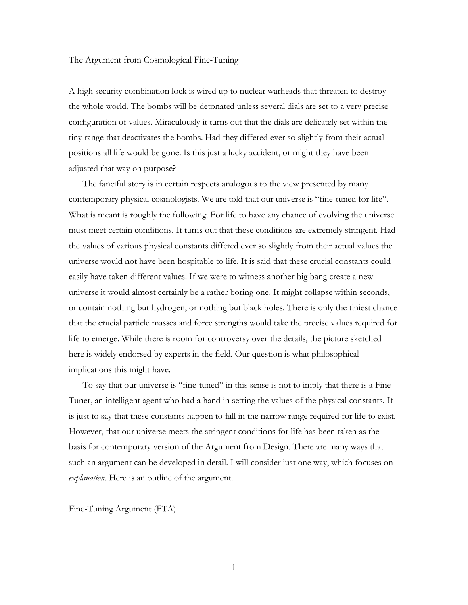## The Argument from Cosmological Fine-Tuning

A high security combination lock is wired up to nuclear warheads that threaten to destroy the whole world. The bombs will be detonated unless several dials are set to a very precise configuration of values. Miraculously it turns out that the dials are delicately set within the tiny range that deactivates the bombs. Had they differed ever so slightly from their actual positions all life would be gone. Is this just a lucky accident, or might they have been adjusted that way on purpose?

The fanciful story is in certain respects analogous to the view presented by many contemporary physical cosmologists. We are told that our universe is "fine-tuned for life". What is meant is roughly the following. For life to have any chance of evolving the universe must meet certain conditions. It turns out that these conditions are extremely stringent*.* Had the values of various physical constants differed ever so slightly from their actual values the universe would not have been hospitable to life. It is said that these crucial constants could easily have taken different values. If we were to witness another big bang create a new universe it would almost certainly be a rather boring one. It might collapse within seconds, or contain nothing but hydrogen, or nothing but black holes. There is only the tiniest chance that the crucial particle masses and force strengths would take the precise values required for life to emerge. While there is room for controversy over the details, the picture sketched here is widely endorsed by experts in the field. Our question is what philosophical implications this might have.

To say that our universe is "fine-tuned" in this sense is not to imply that there is a Fine-Tuner, an intelligent agent who had a hand in setting the values of the physical constants. It is just to say that these constants happen to fall in the narrow range required for life to exist. However, that our universe meets the stringent conditions for life has been taken as the basis for contemporary version of the Argument from Design. There are many ways that such an argument can be developed in detail. I will consider just one way, which focuses on *explanation*. Here is an outline of the argument.

Fine-Tuning Argument (FTA)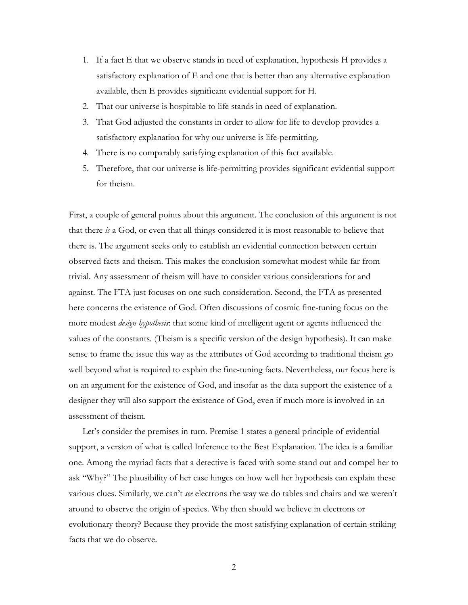- 1. If a fact E that we observe stands in need of explanation, hypothesis H provides a satisfactory explanation of E and one that is better than any alternative explanation available, then E provides significant evidential support for H.
- 2. That our universe is hospitable to life stands in need of explanation.
- 3. That God adjusted the constants in order to allow for life to develop provides a satisfactory explanation for why our universe is life-permitting.
- 4. There is no comparably satisfying explanation of this fact available.
- 5. Therefore, that our universe is life-permitting provides significant evidential support for theism.

First, a couple of general points about this argument. The conclusion of this argument is not that there *is* a God, or even that all things considered it is most reasonable to believe that there is. The argument seeks only to establish an evidential connection between certain observed facts and theism. This makes the conclusion somewhat modest while far from trivial. Any assessment of theism will have to consider various considerations for and against. The FTA just focuses on one such consideration. Second, the FTA as presented here concerns the existence of God. Often discussions of cosmic fine-tuning focus on the more modest *design hypothesis*: that some kind of intelligent agent or agents influenced the values of the constants. (Theism is a specific version of the design hypothesis). It can make sense to frame the issue this way as the attributes of God according to traditional theism go well beyond what is required to explain the fine-tuning facts. Nevertheless, our focus here is on an argument for the existence of God, and insofar as the data support the existence of a designer they will also support the existence of God, even if much more is involved in an assessment of theism.

Let's consider the premises in turn. Premise 1 states a general principle of evidential support, a version of what is called Inference to the Best Explanation. The idea is a familiar one. Among the myriad facts that a detective is faced with some stand out and compel her to ask "Why?" The plausibility of her case hinges on how well her hypothesis can explain these various clues. Similarly, we can't *see* electrons the way we do tables and chairs and we weren't around to observe the origin of species. Why then should we believe in electrons or evolutionary theory? Because they provide the most satisfying explanation of certain striking facts that we do observe.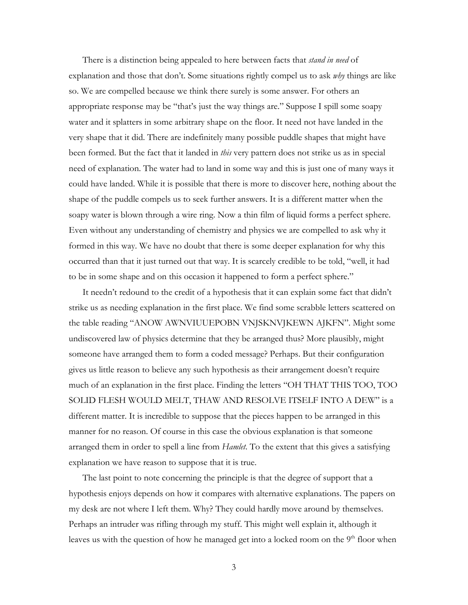There is a distinction being appealed to here between facts that *stand in need* of explanation and those that don't. Some situations rightly compel us to ask *why* things are like so. We are compelled because we think there surely is some answer. For others an appropriate response may be "that's just the way things are." Suppose I spill some soapy water and it splatters in some arbitrary shape on the floor. It need not have landed in the very shape that it did. There are indefinitely many possible puddle shapes that might have been formed. But the fact that it landed in *this* very pattern does not strike us as in special need of explanation. The water had to land in some way and this is just one of many ways it could have landed. While it is possible that there is more to discover here, nothing about the shape of the puddle compels us to seek further answers. It is a different matter when the soapy water is blown through a wire ring. Now a thin film of liquid forms a perfect sphere. Even without any understanding of chemistry and physics we are compelled to ask why it formed in this way. We have no doubt that there is some deeper explanation for why this occurred than that it just turned out that way. It is scarcely credible to be told, "well, it had to be in some shape and on this occasion it happened to form a perfect sphere."

It needn't redound to the credit of a hypothesis that it can explain some fact that didn't strike us as needing explanation in the first place. We find some scrabble letters scattered on the table reading "ANOW AWNVIUUEPOBN VNJSKNVJKEWN AJKFN". Might some undiscovered law of physics determine that they be arranged thus? More plausibly, might someone have arranged them to form a coded message? Perhaps. But their configuration gives us little reason to believe any such hypothesis as their arrangement doesn't require much of an explanation in the first place. Finding the letters "OH THAT THIS TOO, TOO SOLID FLESH WOULD MELT, THAW AND RESOLVE ITSELF INTO A DEW" is a different matter. It is incredible to suppose that the pieces happen to be arranged in this manner for no reason. Of course in this case the obvious explanation is that someone arranged them in order to spell a line from *Hamlet*. To the extent that this gives a satisfying explanation we have reason to suppose that it is true.

The last point to note concerning the principle is that the degree of support that a hypothesis enjoys depends on how it compares with alternative explanations. The papers on my desk are not where I left them. Why? They could hardly move around by themselves. Perhaps an intruder was rifling through my stuff. This might well explain it, although it leaves us with the question of how he managed get into a locked room on the  $9<sup>th</sup>$  floor when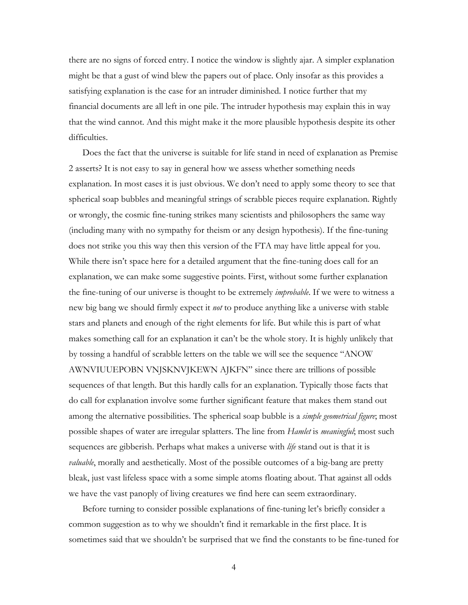there are no signs of forced entry. I notice the window is slightly ajar. A simpler explanation might be that a gust of wind blew the papers out of place. Only insofar as this provides a satisfying explanation is the case for an intruder diminished. I notice further that my financial documents are all left in one pile. The intruder hypothesis may explain this in way that the wind cannot. And this might make it the more plausible hypothesis despite its other difficulties.

Does the fact that the universe is suitable for life stand in need of explanation as Premise 2 asserts? It is not easy to say in general how we assess whether something needs explanation. In most cases it is just obvious. We don't need to apply some theory to see that spherical soap bubbles and meaningful strings of scrabble pieces require explanation. Rightly or wrongly, the cosmic fine-tuning strikes many scientists and philosophers the same way (including many with no sympathy for theism or any design hypothesis). If the fine-tuning does not strike you this way then this version of the FTA may have little appeal for you. While there isn't space here for a detailed argument that the fine-tuning does call for an explanation, we can make some suggestive points. First, without some further explanation the fine-tuning of our universe is thought to be extremely *improbable*. If we were to witness a new big bang we should firmly expect it *not* to produce anything like a universe with stable stars and planets and enough of the right elements for life. But while this is part of what makes something call for an explanation it can't be the whole story. It is highly unlikely that by tossing a handful of scrabble letters on the table we will see the sequence "ANOW AWNVIUUEPOBN VNJSKNVJKEWN AJKFN" since there are trillions of possible sequences of that length. But this hardly calls for an explanation. Typically those facts that do call for explanation involve some further significant feature that makes them stand out among the alternative possibilities. The spherical soap bubble is a *simple geometrical figure*; most possible shapes of water are irregular splatters. The line from *Hamlet* is *meaningful*; most such sequences are gibberish. Perhaps what makes a universe with *life* stand out is that it is *valuable*, morally and aesthetically. Most of the possible outcomes of a big-bang are pretty bleak, just vast lifeless space with a some simple atoms floating about. That against all odds we have the vast panoply of living creatures we find here can seem extraordinary.

Before turning to consider possible explanations of fine-tuning let's briefly consider a common suggestion as to why we shouldn't find it remarkable in the first place. It is sometimes said that we shouldn't be surprised that we find the constants to be fine-tuned for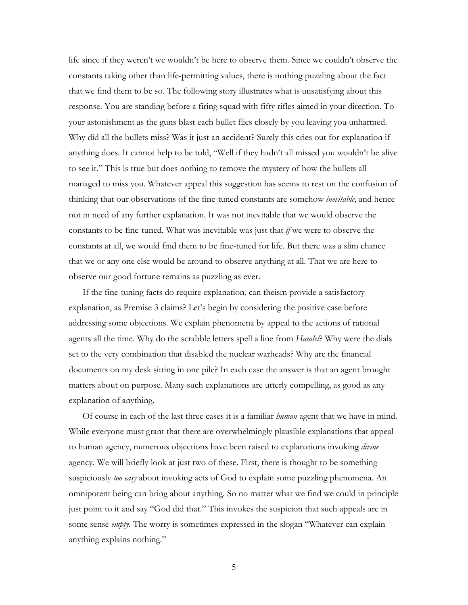life since if they weren't we wouldn't be here to observe them. Since we couldn't observe the constants taking other than life-permitting values, there is nothing puzzling about the fact that we find them to be so. The following story illustrates what is unsatisfying about this response. You are standing before a firing squad with fifty rifles aimed in your direction. To your astonishment as the guns blast each bullet flies closely by you leaving you unharmed. Why did all the bullets miss? Was it just an accident? Surely this cries out for explanation if anything does. It cannot help to be told, "Well if they hadn't all missed you wouldn't be alive to see it." This is true but does nothing to remove the mystery of how the bullets all managed to miss you. Whatever appeal this suggestion has seems to rest on the confusion of thinking that our observations of the fine-tuned constants are somehow *inevitable*, and hence not in need of any further explanation. It was not inevitable that we would observe the constants to be fine-tuned. What was inevitable was just that *if* we were to observe the constants at all, we would find them to be fine-tuned for life. But there was a slim chance that we or any one else would be around to observe anything at all. That we are here to observe our good fortune remains as puzzling as ever.

If the fine-tuning facts do require explanation, can theism provide a satisfactory explanation, as Premise 3 claims? Let's begin by considering the positive case before addressing some objections. We explain phenomena by appeal to the actions of rational agents all the time. Why do the scrabble letters spell a line from *Hamlet*? Why were the dials set to the very combination that disabled the nuclear warheads? Why are the financial documents on my desk sitting in one pile? In each case the answer is that an agent brought matters about on purpose. Many such explanations are utterly compelling, as good as any explanation of anything.

Of course in each of the last three cases it is a familiar *human* agent that we have in mind. While everyone must grant that there are overwhelmingly plausible explanations that appeal to human agency, numerous objections have been raised to explanations invoking *divine* agency. We will briefly look at just two of these. First, there is thought to be something suspiciously *too easy* about invoking acts of God to explain some puzzling phenomena. An omnipotent being can bring about anything. So no matter what we find we could in principle just point to it and say "God did that." This invokes the suspicion that such appeals are in some sense *empty*. The worry is sometimes expressed in the slogan "Whatever can explain anything explains nothing."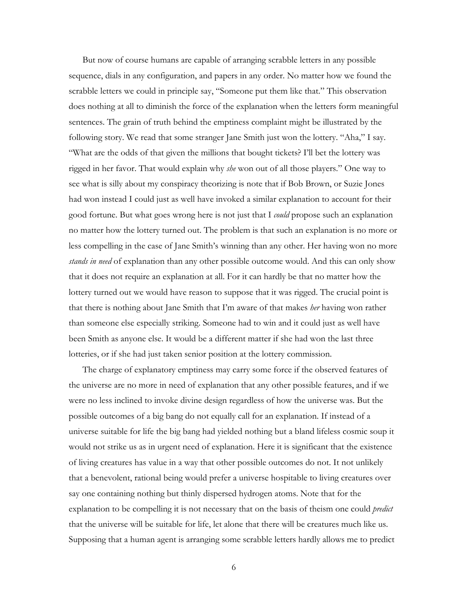But now of course humans are capable of arranging scrabble letters in any possible sequence, dials in any configuration, and papers in any order. No matter how we found the scrabble letters we could in principle say, "Someone put them like that." This observation does nothing at all to diminish the force of the explanation when the letters form meaningful sentences. The grain of truth behind the emptiness complaint might be illustrated by the following story. We read that some stranger Jane Smith just won the lottery. "Aha," I say. "What are the odds of that given the millions that bought tickets? I'll bet the lottery was rigged in her favor. That would explain why *she* won out of all those players." One way to see what is silly about my conspiracy theorizing is note that if Bob Brown, or Suzie Jones had won instead I could just as well have invoked a similar explanation to account for their good fortune. But what goes wrong here is not just that I *could* propose such an explanation no matter how the lottery turned out. The problem is that such an explanation is no more or less compelling in the case of Jane Smith's winning than any other. Her having won no more *stands in need* of explanation than any other possible outcome would. And this can only show that it does not require an explanation at all. For it can hardly be that no matter how the lottery turned out we would have reason to suppose that it was rigged. The crucial point is that there is nothing about Jane Smith that I'm aware of that makes *her* having won rather than someone else especially striking. Someone had to win and it could just as well have been Smith as anyone else. It would be a different matter if she had won the last three lotteries, or if she had just taken senior position at the lottery commission.

The charge of explanatory emptiness may carry some force if the observed features of the universe are no more in need of explanation that any other possible features, and if we were no less inclined to invoke divine design regardless of how the universe was. But the possible outcomes of a big bang do not equally call for an explanation. If instead of a universe suitable for life the big bang had yielded nothing but a bland lifeless cosmic soup it would not strike us as in urgent need of explanation. Here it is significant that the existence of living creatures has value in a way that other possible outcomes do not. It not unlikely that a benevolent, rational being would prefer a universe hospitable to living creatures over say one containing nothing but thinly dispersed hydrogen atoms. Note that for the explanation to be compelling it is not necessary that on the basis of theism one could *predict* that the universe will be suitable for life, let alone that there will be creatures much like us. Supposing that a human agent is arranging some scrabble letters hardly allows me to predict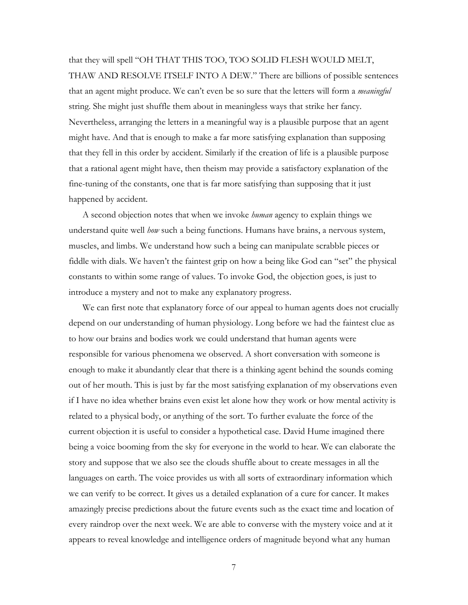that they will spell "OH THAT THIS TOO, TOO SOLID FLESH WOULD MELT, THAW AND RESOLVE ITSELF INTO A DEW." There are billions of possible sentences that an agent might produce. We can't even be so sure that the letters will form a *meaningful* string. She might just shuffle them about in meaningless ways that strike her fancy. Nevertheless, arranging the letters in a meaningful way is a plausible purpose that an agent might have. And that is enough to make a far more satisfying explanation than supposing that they fell in this order by accident. Similarly if the creation of life is a plausible purpose that a rational agent might have, then theism may provide a satisfactory explanation of the fine-tuning of the constants, one that is far more satisfying than supposing that it just happened by accident.

A second objection notes that when we invoke *human* agency to explain things we understand quite well *how* such a being functions. Humans have brains, a nervous system, muscles, and limbs. We understand how such a being can manipulate scrabble pieces or fiddle with dials. We haven't the faintest grip on how a being like God can "set" the physical constants to within some range of values. To invoke God, the objection goes, is just to introduce a mystery and not to make any explanatory progress.

We can first note that explanatory force of our appeal to human agents does not crucially depend on our understanding of human physiology. Long before we had the faintest clue as to how our brains and bodies work we could understand that human agents were responsible for various phenomena we observed. A short conversation with someone is enough to make it abundantly clear that there is a thinking agent behind the sounds coming out of her mouth. This is just by far the most satisfying explanation of my observations even if I have no idea whether brains even exist let alone how they work or how mental activity is related to a physical body, or anything of the sort. To further evaluate the force of the current objection it is useful to consider a hypothetical case. David Hume imagined there being a voice booming from the sky for everyone in the world to hear. We can elaborate the story and suppose that we also see the clouds shuffle about to create messages in all the languages on earth. The voice provides us with all sorts of extraordinary information which we can verify to be correct. It gives us a detailed explanation of a cure for cancer. It makes amazingly precise predictions about the future events such as the exact time and location of every raindrop over the next week. We are able to converse with the mystery voice and at it appears to reveal knowledge and intelligence orders of magnitude beyond what any human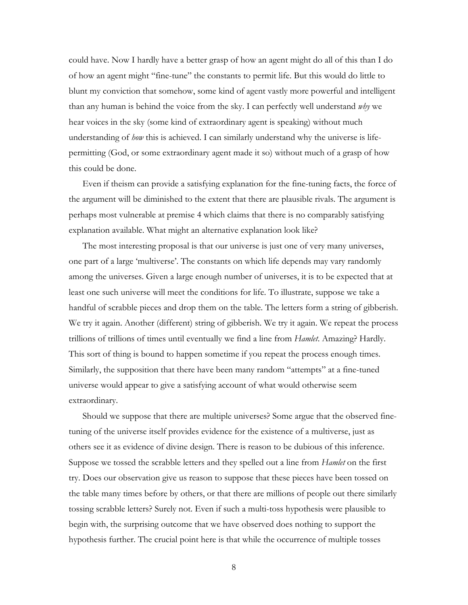could have. Now I hardly have a better grasp of how an agent might do all of this than I do of how an agent might "fine-tune" the constants to permit life. But this would do little to blunt my conviction that somehow, some kind of agent vastly more powerful and intelligent than any human is behind the voice from the sky. I can perfectly well understand *why* we hear voices in the sky (some kind of extraordinary agent is speaking) without much understanding of *how* this is achieved. I can similarly understand why the universe is lifepermitting (God, or some extraordinary agent made it so) without much of a grasp of how this could be done.

Even if theism can provide a satisfying explanation for the fine-tuning facts, the force of the argument will be diminished to the extent that there are plausible rivals. The argument is perhaps most vulnerable at premise 4 which claims that there is no comparably satisfying explanation available. What might an alternative explanation look like?

The most interesting proposal is that our universe is just one of very many universes, one part of a large 'multiverse'. The constants on which life depends may vary randomly among the universes. Given a large enough number of universes, it is to be expected that at least one such universe will meet the conditions for life. To illustrate, suppose we take a handful of scrabble pieces and drop them on the table. The letters form a string of gibberish. We try it again. Another (different) string of gibberish. We try it again. We repeat the process trillions of trillions of times until eventually we find a line from *Hamlet*. Amazing? Hardly. This sort of thing is bound to happen sometime if you repeat the process enough times. Similarly, the supposition that there have been many random "attempts" at a fine-tuned universe would appear to give a satisfying account of what would otherwise seem extraordinary.

Should we suppose that there are multiple universes? Some argue that the observed finetuning of the universe itself provides evidence for the existence of a multiverse, just as others see it as evidence of divine design. There is reason to be dubious of this inference. Suppose we tossed the scrabble letters and they spelled out a line from *Hamlet* on the first try. Does our observation give us reason to suppose that these pieces have been tossed on the table many times before by others, or that there are millions of people out there similarly tossing scrabble letters? Surely not. Even if such a multi-toss hypothesis were plausible to begin with, the surprising outcome that we have observed does nothing to support the hypothesis further. The crucial point here is that while the occurrence of multiple tosses